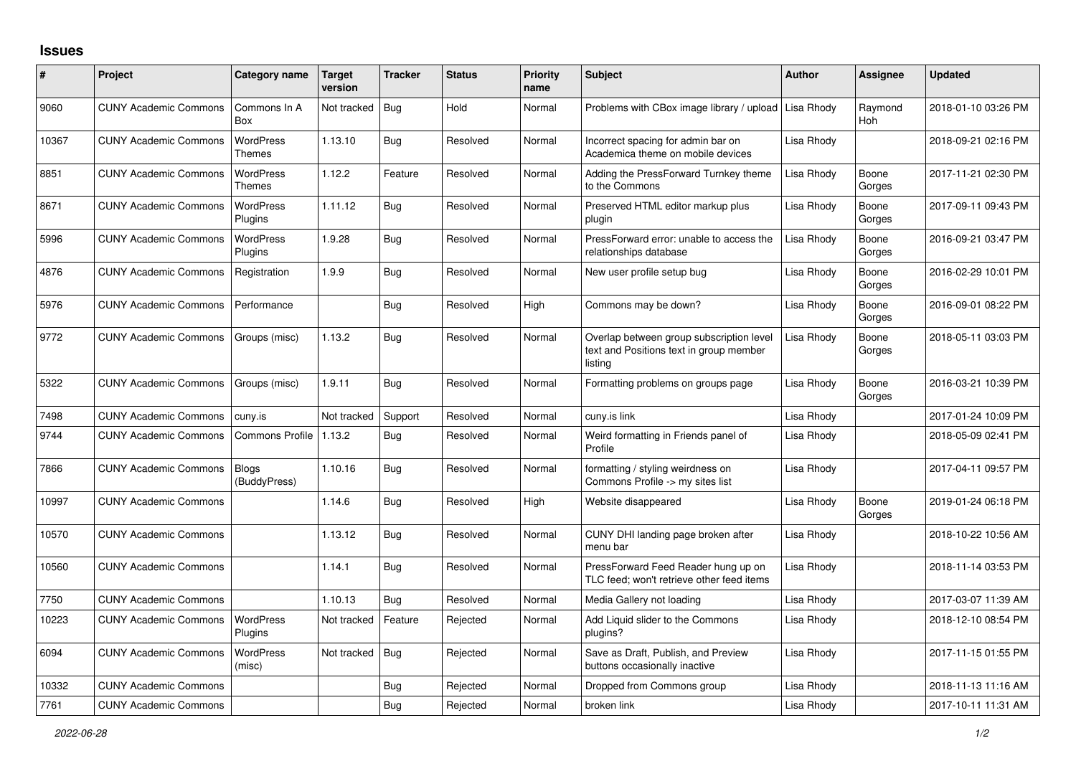## **Issues**

| #     | Project                      | Category name                | Target<br>version | <b>Tracker</b> | Status   | <b>Priority</b><br>name | <b>Subject</b>                                                                                 | <b>Author</b> | <b>Assignee</b>       | <b>Updated</b>      |
|-------|------------------------------|------------------------------|-------------------|----------------|----------|-------------------------|------------------------------------------------------------------------------------------------|---------------|-----------------------|---------------------|
| 9060  | <b>CUNY Academic Commons</b> | Commons In A<br>Box          | Not tracked       | Bug            | Hold     | Normal                  | Problems with CBox image library / upload                                                      | Lisa Rhody    | Raymond<br><b>Hoh</b> | 2018-01-10 03:26 PM |
| 10367 | <b>CUNY Academic Commons</b> | WordPress<br>Themes          | 1.13.10           | Bug            | Resolved | Normal                  | Incorrect spacing for admin bar on<br>Academica theme on mobile devices                        | Lisa Rhody    |                       | 2018-09-21 02:16 PM |
| 8851  | <b>CUNY Academic Commons</b> | <b>WordPress</b><br>Themes   | 1.12.2            | Feature        | Resolved | Normal                  | Adding the PressForward Turnkey theme<br>to the Commons                                        | Lisa Rhody    | Boone<br>Gorges       | 2017-11-21 02:30 PM |
| 8671  | <b>CUNY Academic Commons</b> | <b>WordPress</b><br>Plugins  | 1.11.12           | Bug            | Resolved | Normal                  | Preserved HTML editor markup plus<br>plugin                                                    | Lisa Rhody    | Boone<br>Gorges       | 2017-09-11 09:43 PM |
| 5996  | <b>CUNY Academic Commons</b> | WordPress<br>Plugins         | 1.9.28            | <b>Bug</b>     | Resolved | Normal                  | PressForward error: unable to access the<br>relationships database                             | Lisa Rhody    | Boone<br>Gorges       | 2016-09-21 03:47 PM |
| 4876  | <b>CUNY Academic Commons</b> | Registration                 | 1.9.9             | Bug            | Resolved | Normal                  | New user profile setup bug                                                                     | Lisa Rhody    | Boone<br>Gorges       | 2016-02-29 10:01 PM |
| 5976  | <b>CUNY Academic Commons</b> | Performance                  |                   | <b>Bug</b>     | Resolved | High                    | Commons may be down?                                                                           | Lisa Rhody    | Boone<br>Gorges       | 2016-09-01 08:22 PM |
| 9772  | <b>CUNY Academic Commons</b> | Groups (misc)                | 1.13.2            | Bug            | Resolved | Normal                  | Overlap between group subscription level<br>text and Positions text in group member<br>listing | Lisa Rhody    | Boone<br>Gorges       | 2018-05-11 03:03 PM |
| 5322  | <b>CUNY Academic Commons</b> | Groups (misc)                | 1.9.11            | Bug            | Resolved | Normal                  | Formatting problems on groups page                                                             | Lisa Rhody    | Boone<br>Gorges       | 2016-03-21 10:39 PM |
| 7498  | <b>CUNY Academic Commons</b> | cuny.is                      | Not tracked       | Support        | Resolved | Normal                  | cuny.is link                                                                                   | Lisa Rhody    |                       | 2017-01-24 10:09 PM |
| 9744  | <b>CUNY Academic Commons</b> | Commons Profile   1.13.2     |                   | Bug            | Resolved | Normal                  | Weird formatting in Friends panel of<br>Profile                                                | Lisa Rhody    |                       | 2018-05-09 02:41 PM |
| 7866  | <b>CUNY Academic Commons</b> | <b>Blogs</b><br>(BuddyPress) | 1.10.16           | <b>Bug</b>     | Resolved | Normal                  | formatting / styling weirdness on<br>Commons Profile -> my sites list                          | Lisa Rhody    |                       | 2017-04-11 09:57 PM |
| 10997 | <b>CUNY Academic Commons</b> |                              | 1.14.6            | <b>Bug</b>     | Resolved | High                    | Website disappeared                                                                            | Lisa Rhody    | Boone<br>Gorges       | 2019-01-24 06:18 PM |
| 10570 | <b>CUNY Academic Commons</b> |                              | 1.13.12           | <b>Bug</b>     | Resolved | Normal                  | CUNY DHI landing page broken after<br>menu bar                                                 | Lisa Rhody    |                       | 2018-10-22 10:56 AM |
| 10560 | <b>CUNY Academic Commons</b> |                              | 1.14.1            | <b>Bug</b>     | Resolved | Normal                  | PressForward Feed Reader hung up on<br>TLC feed; won't retrieve other feed items               | Lisa Rhody    |                       | 2018-11-14 03:53 PM |
| 7750  | <b>CUNY Academic Commons</b> |                              | 1.10.13           | <b>Bug</b>     | Resolved | Normal                  | Media Gallery not loading                                                                      | Lisa Rhody    |                       | 2017-03-07 11:39 AM |
| 10223 | <b>CUNY Academic Commons</b> | WordPress<br>Plugins         | Not tracked       | Feature        | Rejected | Normal                  | Add Liquid slider to the Commons<br>plugins?                                                   | Lisa Rhody    |                       | 2018-12-10 08:54 PM |
| 6094  | <b>CUNY Academic Commons</b> | <b>WordPress</b><br>(misc)   | Not tracked       | Bug            | Rejected | Normal                  | Save as Draft, Publish, and Preview<br>buttons occasionally inactive                           | Lisa Rhody    |                       | 2017-11-15 01:55 PM |
| 10332 | <b>CUNY Academic Commons</b> |                              |                   | Bug            | Rejected | Normal                  | Dropped from Commons group                                                                     | Lisa Rhody    |                       | 2018-11-13 11:16 AM |
| 7761  | <b>CUNY Academic Commons</b> |                              |                   | Bug            | Rejected | Normal                  | broken link                                                                                    | Lisa Rhody    |                       | 2017-10-11 11:31 AM |